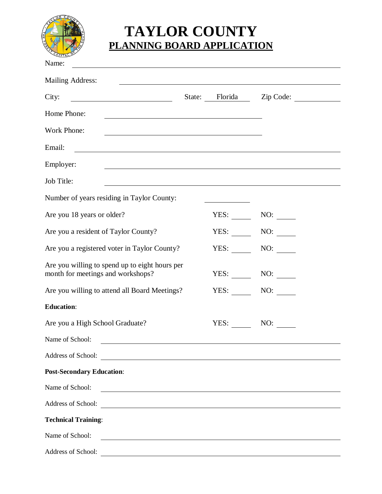

## **TAYLOR COUNTY PLANNING BOARD APPLICATION**

| Name:                                                                                                                                    |      |                          |  |
|------------------------------------------------------------------------------------------------------------------------------------------|------|--------------------------|--|
| Mailing Address:<br><u> 1989 - Johann John Stone, markin fizik eta idazlearia (h. 1989).</u>                                             |      |                          |  |
| City:                                                                                                                                    |      | State: Florida Zip Code: |  |
| Home Phone:<br><u> 1980 - Johann Barn, mars ann an t-Amhain Aonaichte ann an t-Aonaichte ann an t-Aonaichte ann an t-Aonaichte a</u>     |      |                          |  |
| Work Phone:                                                                                                                              |      |                          |  |
| Email:                                                                                                                                   |      |                          |  |
| Employer:                                                                                                                                |      |                          |  |
| Job Title:                                                                                                                               |      |                          |  |
| Number of years residing in Taylor County:                                                                                               |      |                          |  |
| Are you 18 years or older?                                                                                                               | YES: |                          |  |
| Are you a resident of Taylor County?                                                                                                     | YES: | NO:                      |  |
| Are you a registered voter in Taylor County?                                                                                             | YES: | NO:                      |  |
| Are you willing to spend up to eight hours per<br>month for meetings and workshops?                                                      | YES: |                          |  |
| Are you willing to attend all Board Meetings?                                                                                            | YES: | NO:                      |  |
| <b>Education:</b>                                                                                                                        |      |                          |  |
| Are you a High School Graduate?                                                                                                          | YES: | NO:                      |  |
| Name of School:<br><u> Alexandria de la construcción de la construcción de la construcción de la construcción de la construcción de</u>  |      |                          |  |
|                                                                                                                                          |      |                          |  |
| <b>Post-Secondary Education:</b>                                                                                                         |      |                          |  |
| Name of School:<br><u> 1989 - Johann Harry Harry Harry Harry Harry Harry Harry Harry Harry Harry Harry Harry Harry Harry Harry Harry</u> |      |                          |  |
|                                                                                                                                          |      |                          |  |
| <b>Technical Training:</b>                                                                                                               |      |                          |  |
| Name of School:<br><u> Alexandria de la contrada de la contrada de la contrada de la contrada de la contrada de la contrada de la c</u>  |      |                          |  |
| Address of School:                                                                                                                       |      |                          |  |